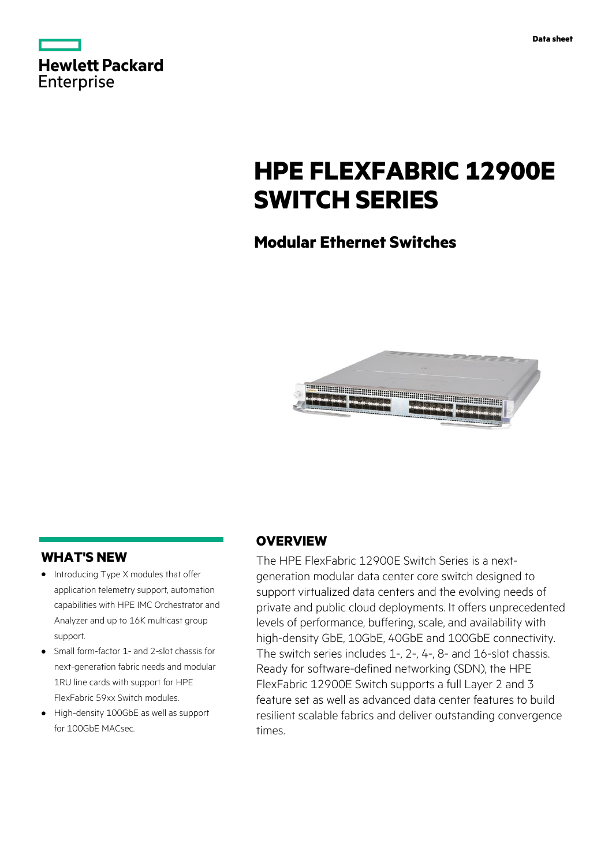|                   | <b>Hewlett Packard</b> |
|-------------------|------------------------|
| <b>Enterprise</b> |                        |

# **HPE FLEXFABRIC 12900E SWITCH SERIES**

# **Modular Ethernet Switches**



## **WHAT'S NEW**

- **·** Introducing Type X modules that offer application telemetry support, automation capabilities with HPE IMC Orchestrator and Analyzer and up to 16K multicast group support.
- **·** Small form-factor 1- and 2-slot chassis for next-generation fabric needs and modular 1RU line cards with support for HPE FlexFabric 59xx Switch modules.
- **·** High-density 100GbE as well as support for 100GbE MACsec.

## **OVERVIEW**

The HPE FlexFabric 12900E Switch Series is a nextgeneration modular data center core switch designed to support virtualized data centers and the evolving needs of private and public cloud deployments. It offers unprecedented levels of performance, buffering, scale, and availability with high-density GbE, 10GbE, 40GbE and 100GbE connectivity. The switch series includes 1-, 2-, 4-, 8- and 16-slot chassis. Ready for software-defined networking (SDN), the HPE FlexFabric 12900E Switch supports a full Layer 2 and 3 feature set as well as advanced data center features to build resilient scalable fabrics and deliver outstanding convergence times.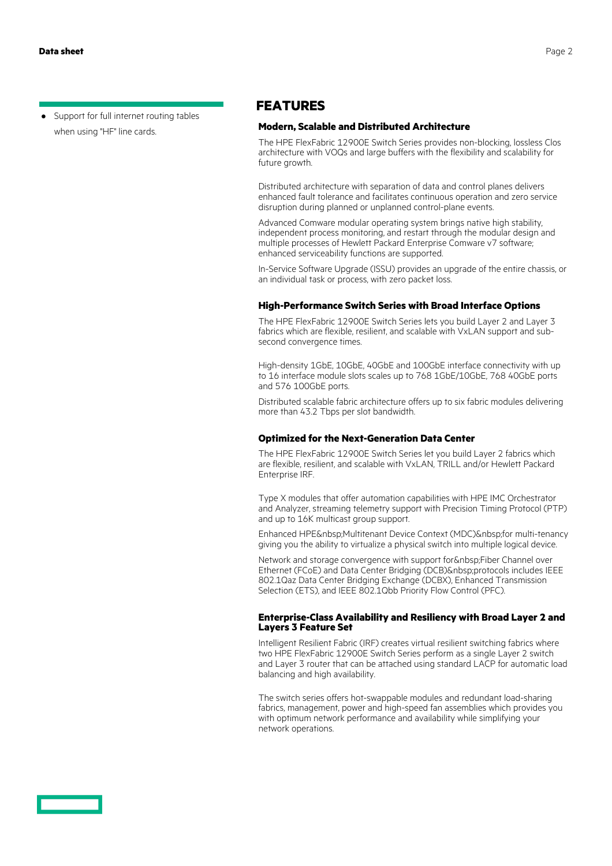**·** Support for full internet routing tables when using "HF" line cards.

### **FEATURES**

#### **Modern, Scalable and Distributed Architecture**

The HPE FlexFabric 12900E Switch Series provides non-blocking, lossless Clos architecture with VOQs and large buffers with the flexibility and scalability for future growth.

Distributed architecture with separation of data and control planes delivers enhanced fault tolerance and facilitates continuous operation and zero service disruption during planned or unplanned control-plane events.

Advanced Comware modular operating system brings native high stability, independent process monitoring, and restart through the modular design and multiple processes of Hewlett Packard Enterprise Comware v7 software; enhanced serviceability functions are supported.

In-Service Software Upgrade (ISSU) provides an upgrade of the entire chassis, or an individual task or process, with zero packet loss.

#### **High-Performance Switch Series with Broad Interface Options**

The HPE FlexFabric 12900E Switch Series lets you build Layer 2 and Layer 3 fabrics which are flexible, resilient, and scalable with VxLAN support and subsecond convergence times.

High-density 1GbE, 10GbE, 40GbE and 100GbE interface connectivity with up to 16 interface module slots scales up to 768 1GbE/10GbE, 768 40GbE ports and 576 100GbE ports.

Distributed scalable fabric architecture offers up to six fabric modules delivering more than 43.2 Tbps per slot bandwidth.

#### **Optimized for the Next-Generation Data Center**

The HPE FlexFabric 12900E Switch Series let you build Layer 2 fabrics which are flexible, resilient, and scalable with VxLAN, TRILL and/or Hewlett Packard Enterprise IRF.

Type X modules that offer automation capabilities with HPE IMC Orchestrator and Analyzer, streaming telemetry support with Precision Timing Protocol (PTP) and up to 16K multicast group support.

Enhanced HPE&nbsp:Multitenant Device Context (MDC)&nbsp:for multi-tenancy giving you the ability to virtualize a physical switch into multiple logical device.

Network and storage convergence with support for Fiber Channel over Ethernet (FCoE) and Data Center Bridging (DCB) protocols includes IEEE 802.1Qaz Data Center Bridging Exchange (DCBX), Enhanced Transmission Selection (ETS), and IEEE 802.1Qbb Priority Flow Control (PFC).

#### **Enterprise-Class Availability and Resiliency with Broad Layer 2 and Layers 3 Feature Set**

Intelligent Resilient Fabric (IRF) creates virtual resilient switching fabrics where two HPE FlexFabric 12900E Switch Series perform as a single Layer 2 switch and Layer 3 router that can be attached using standard LACP for automatic load balancing and high availability.

The switch series offers hot-swappable modules and redundant load-sharing fabrics, management, power and high-speed fan assemblies which provides you with optimum network performance and availability while simplifying your network operations.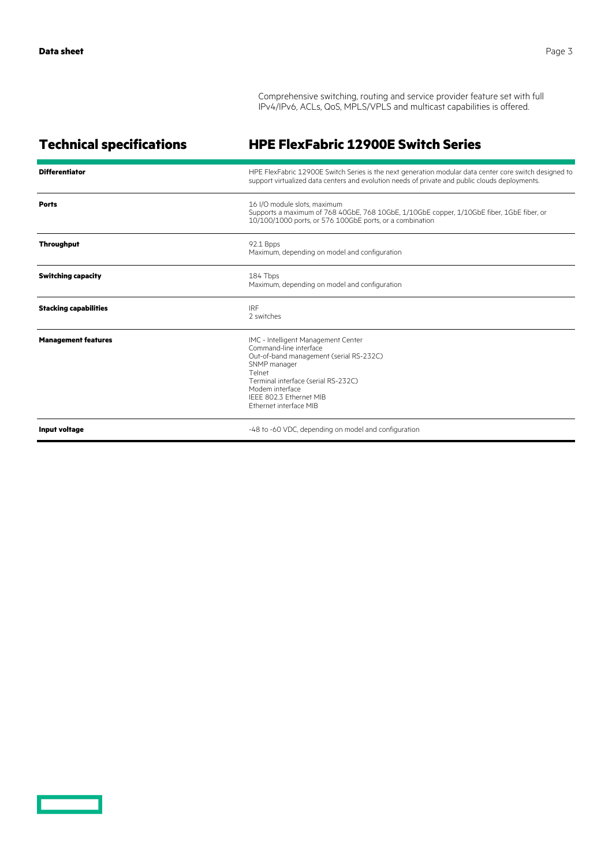Comprehensive switching, routing and service provider feature set with full IPv4/IPv6, ACLs, QoS, MPLS/VPLS and multicast capabilities is offered.

| <b>Technical specifications</b> | <b>HPE FlexFabric 12900E Switch Series</b>                                                                                                                                                                                                        |
|---------------------------------|---------------------------------------------------------------------------------------------------------------------------------------------------------------------------------------------------------------------------------------------------|
| <b>Differentiator</b>           | HPE FlexFabric 12900E Switch Series is the next generation modular data center core switch designed to<br>support virtualized data centers and evolution needs of private and public clouds deployments.                                          |
| <b>Ports</b>                    | 16 I/O module slots, maximum<br>Supports a maximum of 768 40GbE, 768 10GbE, 1/10GbE copper, 1/10GbE fiber, 1GbE fiber, or<br>10/100/1000 ports, or 576 100GbE ports, or a combination                                                             |
| <b>Throughput</b>               | 92.1 Bpps<br>Maximum, depending on model and configuration                                                                                                                                                                                        |
| <b>Switching capacity</b>       | 184 Tbps<br>Maximum, depending on model and configuration                                                                                                                                                                                         |
| <b>Stacking capabilities</b>    | <b>IRF</b><br>2 switches                                                                                                                                                                                                                          |
| <b>Management features</b>      | IMC - Intelligent Management Center<br>Command-line interface<br>Out-of-band management (serial RS-232C)<br>SNMP manager<br>Telnet<br>Terminal interface (serial RS-232C)<br>Modem interface<br>IFFF 802.3 Ethernet MIB<br>Ethernet interface MIB |
| Input voltage                   | -48 to -60 VDC, depending on model and configuration                                                                                                                                                                                              |